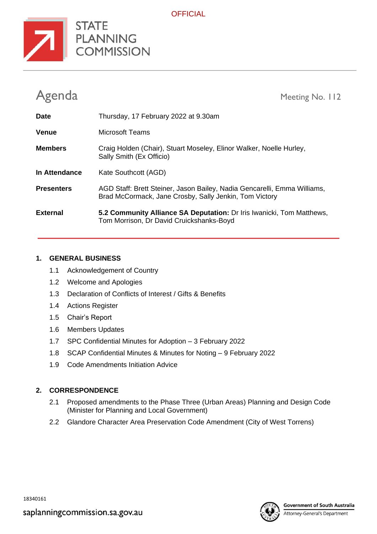

**OFFICIAL** 

| Agenda            | Meeting No. 112                                                                                                                    |
|-------------------|------------------------------------------------------------------------------------------------------------------------------------|
| <b>Date</b>       | Thursday, 17 February 2022 at 9.30am                                                                                               |
| Venue             | Microsoft Teams                                                                                                                    |
| <b>Members</b>    | Craig Holden (Chair), Stuart Moseley, Elinor Walker, Noelle Hurley,<br>Sally Smith (Ex Officio)                                    |
| In Attendance     | Kate Southcott (AGD)                                                                                                               |
| <b>Presenters</b> | AGD Staff: Brett Steiner, Jason Bailey, Nadia Gencarelli, Emma Williams,<br>Brad McCormack, Jane Crosby, Sally Jenkin, Tom Victory |
| <b>External</b>   | 5.2 Community Alliance SA Deputation: Dr Iris Iwanicki, Tom Matthews,<br>Tom Morrison, Dr David Cruickshanks-Boyd                  |

## **1. GENERAL BUSINESS**

- 1.1 Acknowledgement of Country
- 1.2 Welcome and Apologies
- 1.3 Declaration of Conflicts of Interest / Gifts & Benefits
- 1.4 Actions Register
- 1.5 Chair's Report
- 1.6 Members Updates
- 1.7 SPC Confidential Minutes for Adoption 3 February 2022
- 1.8 SCAP Confidential Minutes & Minutes for Noting 9 February 2022
- 1.9 Code Amendments Initiation Advice

# **2. CORRESPONDENCE**

- 2.1 Proposed amendments to the Phase Three (Urban Areas) Planning and Design Code (Minister for Planning and Local Government)
- 2.2 Glandore Character Area Preservation Code Amendment (City of West Torrens)



Attorney-General's Department